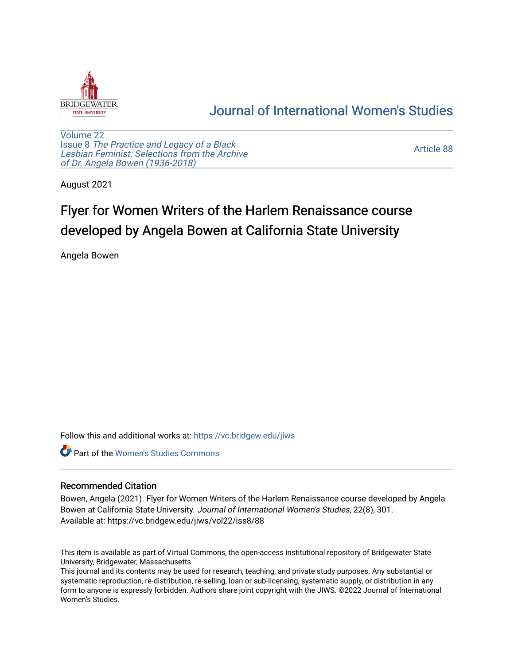

## [Journal of International Women's Studies](https://vc.bridgew.edu/jiws)

[Volume 22](https://vc.bridgew.edu/jiws/vol22) Issue 8 [The Practice and Legacy of a Black](https://vc.bridgew.edu/jiws/vol22/iss8)  [Lesbian Feminist: Selections from the Archive](https://vc.bridgew.edu/jiws/vol22/iss8)  [of Dr. Angela Bowen \(1936-2018\)](https://vc.bridgew.edu/jiws/vol22/iss8)

[Article 88](https://vc.bridgew.edu/jiws/vol22/iss8/88) 

August 2021

## Flyer for Women Writers of the Harlem Renaissance course developed by Angela Bowen at California State University

Angela Bowen

Follow this and additional works at: [https://vc.bridgew.edu/jiws](https://vc.bridgew.edu/jiws?utm_source=vc.bridgew.edu%2Fjiws%2Fvol22%2Fiss8%2F88&utm_medium=PDF&utm_campaign=PDFCoverPages)

**C** Part of the Women's Studies Commons

## Recommended Citation

Bowen, Angela (2021). Flyer for Women Writers of the Harlem Renaissance course developed by Angela Bowen at California State University. Journal of International Women's Studies, 22(8), 301. Available at: https://vc.bridgew.edu/jiws/vol22/iss8/88

This item is available as part of Virtual Commons, the open-access institutional repository of Bridgewater State University, Bridgewater, Massachusetts.

This journal and its contents may be used for research, teaching, and private study purposes. Any substantial or systematic reproduction, re-distribution, re-selling, loan or sub-licensing, systematic supply, or distribution in any form to anyone is expressly forbidden. Authors share joint copyright with the JIWS. ©2022 Journal of International Women's Studies.